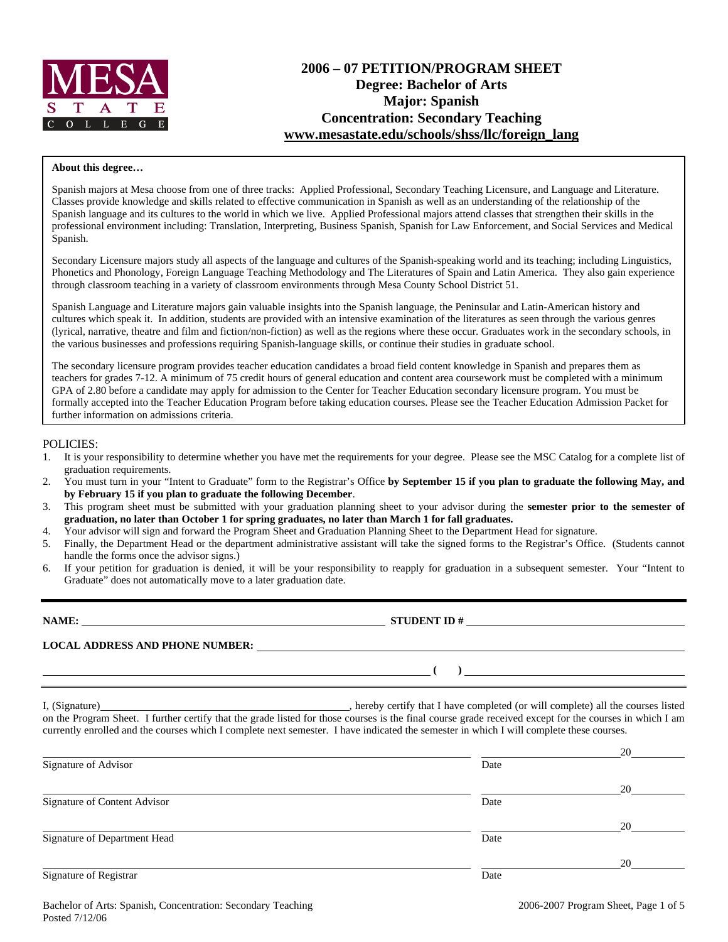

# **2006 – 07 PETITION/PROGRAM SHEET Degree: Bachelor of Arts Major: Spanish Concentration: Secondary Teaching www.mesastate.edu/schools/shss/llc/foreign\_lang**

#### **About this degree…**

Spanish majors at Mesa choose from one of three tracks: Applied Professional, Secondary Teaching Licensure, and Language and Literature. Classes provide knowledge and skills related to effective communication in Spanish as well as an understanding of the relationship of the Spanish language and its cultures to the world in which we live. Applied Professional majors attend classes that strengthen their skills in the professional environment including: Translation, Interpreting, Business Spanish, Spanish for Law Enforcement, and Social Services and Medical Spanish.

Secondary Licensure majors study all aspects of the language and cultures of the Spanish-speaking world and its teaching; including Linguistics, Phonetics and Phonology, Foreign Language Teaching Methodology and The Literatures of Spain and Latin America. They also gain experience through classroom teaching in a variety of classroom environments through Mesa County School District 51.

Spanish Language and Literature majors gain valuable insights into the Spanish language, the Peninsular and Latin-American history and cultures which speak it. In addition, students are provided with an intensive examination of the literatures as seen through the various genres (lyrical, narrative, theatre and film and fiction/non-fiction) as well as the regions where these occur. Graduates work in the secondary schools, in the various businesses and professions requiring Spanish-language skills, or continue their studies in graduate school.

The secondary licensure program provides teacher education candidates a broad field content knowledge in Spanish and prepares them as teachers for grades 7-12. A minimum of 75 credit hours of general education and content area coursework must be completed with a minimum GPA of 2.80 before a candidate may apply for admission to the Center for Teacher Education secondary licensure program. You must be formally accepted into the Teacher Education Program before taking education courses. Please see the Teacher Education Admission Packet for further information on admissions criteria.

#### POLICIES:

- 1. It is your responsibility to determine whether you have met the requirements for your degree. Please see the MSC Catalog for a complete list of graduation requirements.
- 2. You must turn in your "Intent to Graduate" form to the Registrar's Office **by September 15 if you plan to graduate the following May, and by February 15 if you plan to graduate the following December**.
- 3. This program sheet must be submitted with your graduation planning sheet to your advisor during the **semester prior to the semester of graduation, no later than October 1 for spring graduates, no later than March 1 for fall graduates.**
- 4. Your advisor will sign and forward the Program Sheet and Graduation Planning Sheet to the Department Head for signature.
- 5. Finally, the Department Head or the department administrative assistant will take the signed forms to the Registrar's Office. (Students cannot handle the forms once the advisor signs.)
- 6. If your petition for graduation is denied, it will be your responsibility to reapply for graduation in a subsequent semester. Your "Intent to Graduate" does not automatically move to a later graduation date.

| NAME:                                  | <b>STUDENT ID#</b> |
|----------------------------------------|--------------------|
| <b>LOCAL ADDRESS AND PHONE NUMBER:</b> |                    |
|                                        |                    |

I, (Signature) , hereby certify that I have completed (or will complete) all the courses listed on the Program Sheet. I further certify that the grade listed for those courses is the final course grade received except for the courses in which I am currently enrolled and the courses which I complete next semester. I have indicated the semester in which I will complete these courses.

|                              |      | 20 |
|------------------------------|------|----|
| Signature of Advisor         | Date |    |
|                              |      | 20 |
| Signature of Content Advisor | Date |    |
|                              |      | 20 |
| Signature of Department Head | Date |    |
|                              |      | 20 |
| Signature of Registrar       | Date |    |
|                              |      |    |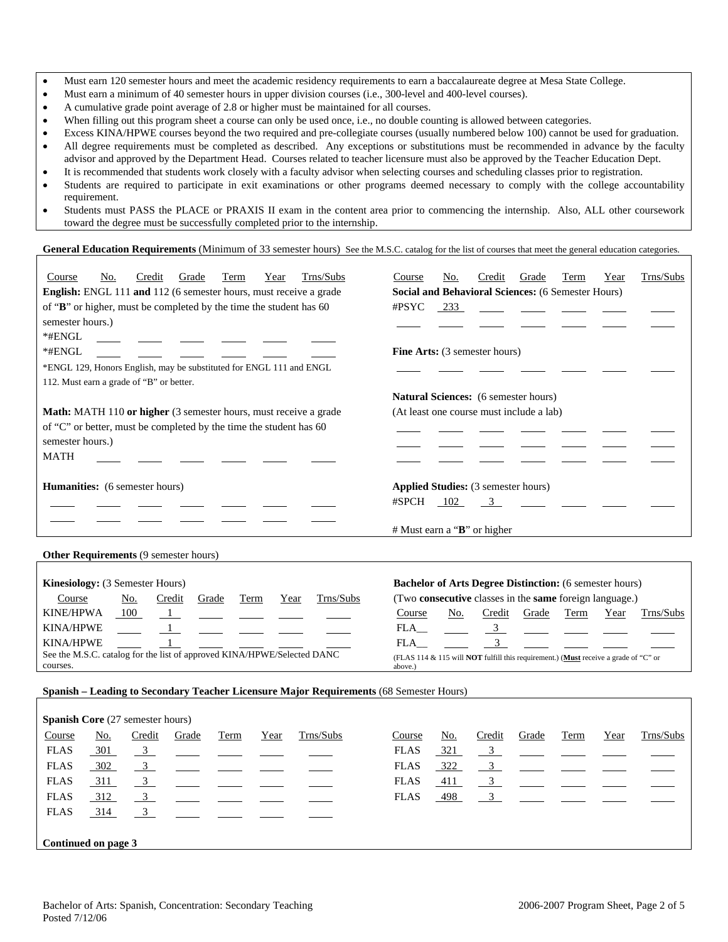- Must earn 120 semester hours and meet the academic residency requirements to earn a baccalaureate degree at Mesa State College.
- Must earn a minimum of 40 semester hours in upper division courses (i.e., 300-level and 400-level courses).
- A cumulative grade point average of 2.8 or higher must be maintained for all courses.
- When filling out this program sheet a course can only be used once, i.e., no double counting is allowed between categories.
- Excess KINA/HPWE courses beyond the two required and pre-collegiate courses (usually numbered below 100) cannot be used for graduation.
- All degree requirements must be completed as described. Any exceptions or substitutions must be recommended in advance by the faculty advisor and approved by the Department Head. Courses related to teacher licensure must also be approved by the Teacher Education Dept.
- It is recommended that students work closely with a faculty advisor when selecting courses and scheduling classes prior to registration.
- Students are required to participate in exit examinations or other programs deemed necessary to comply with the college accountability requirement.
- Students must PASS the PLACE or PRAXIS II exam in the content area prior to commencing the internship. Also, ALL other coursework toward the degree must be successfully completed prior to the internship.

### General Education Requirements (Minimum of 33 semester hours) See the M.S.C. catalog for the list of courses that meet the general education categories.

| Trns/Subs<br>No.<br>Credit<br>Grade<br>Term<br>Year<br>Course<br><b>English:</b> ENGL 111 and 112 (6 semester hours, must receive a grade<br>of "B" or higher, must be completed by the time the student has 60<br>semester hours.)<br>$*$ #ENGL | Trns/Subs<br>Year<br>No.<br>Credit<br>Grade<br>Term<br>Course<br><b>Social and Behavioral Sciences: (6 Semester Hours)</b><br>#PSYC<br>233 |  |  |  |  |  |  |
|--------------------------------------------------------------------------------------------------------------------------------------------------------------------------------------------------------------------------------------------------|--------------------------------------------------------------------------------------------------------------------------------------------|--|--|--|--|--|--|
| $*$ #ENGL                                                                                                                                                                                                                                        | <b>Fine Arts:</b> (3 semester hours)                                                                                                       |  |  |  |  |  |  |
| *ENGL 129, Honors English, may be substituted for ENGL 111 and ENGL                                                                                                                                                                              |                                                                                                                                            |  |  |  |  |  |  |
| 112. Must earn a grade of "B" or better.                                                                                                                                                                                                         |                                                                                                                                            |  |  |  |  |  |  |
|                                                                                                                                                                                                                                                  | <b>Natural Sciences:</b> (6 semester hours)                                                                                                |  |  |  |  |  |  |
| <b>Math:</b> MATH 110 or higher (3 semester hours, must receive a grade                                                                                                                                                                          | (At least one course must include a lab)                                                                                                   |  |  |  |  |  |  |
| of "C" or better, must be completed by the time the student has 60                                                                                                                                                                               |                                                                                                                                            |  |  |  |  |  |  |
| semester hours.)                                                                                                                                                                                                                                 |                                                                                                                                            |  |  |  |  |  |  |
| <b>MATH</b>                                                                                                                                                                                                                                      |                                                                                                                                            |  |  |  |  |  |  |
| Humanities: (6 semester hours)                                                                                                                                                                                                                   | <b>Applied Studies:</b> (3 semester hours)                                                                                                 |  |  |  |  |  |  |
|                                                                                                                                                                                                                                                  | #SPCH<br>102<br>$\overline{3}$                                                                                                             |  |  |  |  |  |  |
|                                                                                                                                                                                                                                                  | $#$ Must earn a "B" or higher                                                                                                              |  |  |  |  |  |  |
| <b>Other Requirements (9 semester hours)</b>                                                                                                                                                                                                     |                                                                                                                                            |  |  |  |  |  |  |
|                                                                                                                                                                                                                                                  |                                                                                                                                            |  |  |  |  |  |  |

| <b>Kinesiology:</b> (3 Semester Hours)                                  |     |                                                                                                                           |       |      |      |                                                                                                                    | <b>Bachelor of Arts Degree Distinction:</b> (6 semester hours)        |     |        |       |      |      |                                                                        |
|-------------------------------------------------------------------------|-----|---------------------------------------------------------------------------------------------------------------------------|-------|------|------|--------------------------------------------------------------------------------------------------------------------|-----------------------------------------------------------------------|-----|--------|-------|------|------|------------------------------------------------------------------------|
| Course                                                                  | No. | Credit                                                                                                                    | Grade | Term | Year | Trns/Subs                                                                                                          | (Two <b>consecutive</b> classes in the <b>same</b> foreign language.) |     |        |       |      |      |                                                                        |
| <b>KINE/HPWA</b>                                                        | 100 |                                                                                                                           |       |      |      | $\mathbf{1}$ and $\mathbf{1}$ and $\mathbf{1}$ and $\mathbf{1}$ and $\mathbf{1}$ and $\mathbf{1}$ and $\mathbf{1}$ | Course                                                                | No. | Credit | Grade | Term | Year | Trns/Subs                                                              |
| <b>KINA/HPWE</b>                                                        |     | $\frac{1}{2}$ and $\frac{1}{2}$ and $\frac{1}{2}$ and $\frac{1}{2}$ and $\frac{1}{2}$ and $\frac{1}{2}$ and $\frac{1}{2}$ |       |      |      |                                                                                                                    | FLA.                                                                  |     |        |       |      |      | <u> 2001 - Andrea Station Andrea Station Andrea Station Andrea Sta</u> |
| <b>KINA/HPWE</b>                                                        |     |                                                                                                                           |       |      |      |                                                                                                                    | FLA                                                                   |     |        |       |      |      |                                                                        |
| See the M.S.C. catalog for the list of approved KINA/HPWE/Selected DANC |     |                                                                                                                           |       |      |      | (FLAS 114 $\&$ 115 will <b>NOT</b> fulfill this requirement.) ( <b>Must</b> receive a grade of "C" or              |                                                                       |     |        |       |      |      |                                                                        |
| courses.                                                                |     |                                                                                                                           |       |      |      |                                                                                                                    | above.)                                                               |     |        |       |      |      |                                                                        |

## **Spanish – Leading to Secondary Teacher Licensure Major Requirements** (68 Semester Hours)

|             | <b>Spanish Core</b> (27 semester hours) |                         |       |      |      |           |  |             |            |        |                                                                       |      |      |           |
|-------------|-----------------------------------------|-------------------------|-------|------|------|-----------|--|-------------|------------|--------|-----------------------------------------------------------------------|------|------|-----------|
| Course      | No.                                     | Credit                  | Grade | Term | Year | Trns/Subs |  | Course      | <u>No.</u> | Credit | Grade                                                                 | Term | Year | Trns/Subs |
| <b>FLAS</b> | $-301$                                  | $\frac{3}{2}$           |       |      |      |           |  | <b>FLAS</b> | $-321$     |        | $\frac{3}{2}$ $\frac{1}{2}$ $\frac{1}{2}$ $\frac{1}{2}$ $\frac{1}{2}$ |      |      |           |
| <b>FLAS</b> | 302                                     | $\frac{3}{2}$           |       |      |      |           |  | <b>FLAS</b> | 322        |        | $\frac{3}{2}$ $\frac{1}{2}$ $\frac{1}{2}$ $\frac{1}{2}$               |      |      |           |
| <b>FLAS</b> | $-311$                                  | $\frac{3}{2}$           |       |      |      |           |  | <b>FLAS</b> | 411        |        | $\frac{3}{2}$ $\frac{3}{2}$                                           |      |      |           |
| <b>FLAS</b> | 312                                     | $\frac{3}{2}$           |       |      |      |           |  | <b>FLAS</b> | 498        |        | $\frac{3}{2}$ $\frac{3}{2}$                                           |      |      |           |
| <b>FLAS</b> | 314                                     | $\overline{\mathbf{3}}$ |       |      |      |           |  |             |            |        |                                                                       |      |      |           |
|             |                                         |                         |       |      |      |           |  |             |            |        |                                                                       |      |      |           |
|             | Continued on page 3                     |                         |       |      |      |           |  |             |            |        |                                                                       |      |      |           |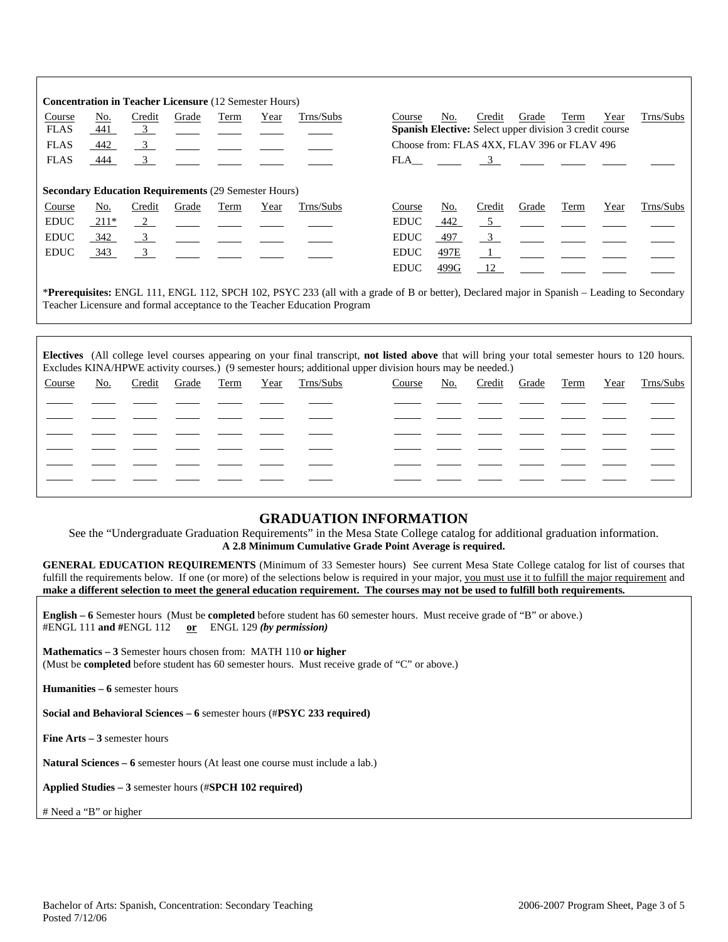|                                                             |                                                                                                                                                                                                                        | <b>Concentration in Teacher Licensure (12 Semester Hours)</b> |       |      |      |           |             |      |                                                                |       |      |      |           |
|-------------------------------------------------------------|------------------------------------------------------------------------------------------------------------------------------------------------------------------------------------------------------------------------|---------------------------------------------------------------|-------|------|------|-----------|-------------|------|----------------------------------------------------------------|-------|------|------|-----------|
| Course                                                      | No.                                                                                                                                                                                                                    | Credit                                                        | Grade | Term | Year | Trns/Subs | Course      | No.  | Credit                                                         | Grade | Term | Year | Trns/Subs |
| <b>FLAS</b>                                                 | 441                                                                                                                                                                                                                    | $\overline{\mathbf{3}}$                                       |       |      |      |           |             |      | <b>Spanish Elective:</b> Select upper division 3 credit course |       |      |      |           |
| <b>FLAS</b>                                                 | 442                                                                                                                                                                                                                    | $\overline{\mathbf{3}}$                                       |       |      |      |           |             |      | Choose from: FLAS 4XX, FLAV 396 or FLAV 496                    |       |      |      |           |
| <b>FLAS</b>                                                 | 444                                                                                                                                                                                                                    | $\frac{3}{2}$                                                 |       |      |      |           |             |      | $FLA$ 3                                                        |       |      |      |           |
| <b>Secondary Education Requirements (29 Semester Hours)</b> |                                                                                                                                                                                                                        |                                                               |       |      |      |           |             |      |                                                                |       |      |      |           |
| Course                                                      | No.                                                                                                                                                                                                                    | Credit                                                        | Grade | Term | Year | Trns/Subs | Course      | No.  | Credit                                                         | Grade | Term | Year | Trns/Subs |
| <b>EDUC</b>                                                 | 211*                                                                                                                                                                                                                   | $\frac{2}{2}$                                                 |       |      |      |           | <b>EDUC</b> | 442  | 5 <sup>5</sup>                                                 |       |      |      |           |
| <b>EDUC</b>                                                 | 342                                                                                                                                                                                                                    | $\overline{\mathbf{3}}$                                       |       |      |      |           | <b>EDUC</b> | 497  | $\overline{\mathbf{3}}$                                        |       |      |      |           |
| <b>EDUC</b>                                                 | 343                                                                                                                                                                                                                    | $\overline{\mathbf{3}}$                                       |       |      |      |           | <b>EDUC</b> | 497E | $\frac{1}{2}$                                                  |       |      |      |           |
|                                                             |                                                                                                                                                                                                                        |                                                               |       |      |      |           | <b>EDUC</b> | 499G | 12                                                             |       |      |      |           |
|                                                             | *Prerequisites: ENGL 111, ENGL 112, SPCH 102, PSYC 233 (all with a grade of B or better), Declared major in Spanish - Leading to Secondary<br>Teacher Licensure and formal acceptance to the Teacher Education Program |                                                               |       |      |      |           |             |      |                                                                |       |      |      |           |

|        | Electives (All college level courses appearing on your final transcript, not listed above that will bring your total semester hours to 120 hours.<br>Excludes KINA/HPWE activity courses.) (9 semester hours; additional upper division hours may be needed.) |        |       |      |      |           |        |  |     |        |       |      |      |           |
|--------|---------------------------------------------------------------------------------------------------------------------------------------------------------------------------------------------------------------------------------------------------------------|--------|-------|------|------|-----------|--------|--|-----|--------|-------|------|------|-----------|
| Course | No.                                                                                                                                                                                                                                                           | Credit | Grade | Term | Year | Trns/Subs | Course |  | No. | Credit | Grade | Term | Year | Trns/Subs |
|        |                                                                                                                                                                                                                                                               |        |       |      |      |           |        |  |     |        |       |      |      |           |
|        |                                                                                                                                                                                                                                                               |        |       |      |      |           |        |  |     |        |       |      |      |           |
|        |                                                                                                                                                                                                                                                               |        |       |      |      |           |        |  |     |        |       |      |      |           |
|        |                                                                                                                                                                                                                                                               |        |       |      |      |           |        |  |     |        |       |      |      |           |
|        |                                                                                                                                                                                                                                                               |        |       |      |      |           |        |  |     |        |       |      |      |           |
|        |                                                                                                                                                                                                                                                               |        |       |      |      |           |        |  |     |        |       |      |      |           |

# **GRADUATION INFORMATION**

See the "Undergraduate Graduation Requirements" in the Mesa State College catalog for additional graduation information. **A 2.8 Minimum Cumulative Grade Point Average is required.**

**GENERAL EDUCATION REQUIREMENTS** (Minimum of 33 Semester hours) See current Mesa State College catalog for list of courses that fulfill the requirements below. If one (or more) of the selections below is required in your major, you must use it to fulfill the major requirement and **make a different selection to meet the general education requirement. The courses may not be used to fulfill both requirements.**

**English – 6** Semester hours (Must be **completed** before student has 60 semester hours. Must receive grade of "B" or above.) #ENGL 111 **and #**ENGL 112 **or** ENGL 129 *(by permission)*

**Mathematics – 3** Semester hours chosen from: MATH 110 **or higher** (Must be **completed** before student has 60 semester hours. Must receive grade of "C" or above.)

**Humanities – 6** semester hours

**Social and Behavioral Sciences – 6** semester hours (#**PSYC 233 required)**

**Fine Arts – 3** semester hours

**Natural Sciences – 6** semester hours (At least one course must include a lab.)

**Applied Studies – 3** semester hours (#**SPCH 102 required)**

# Need a "B" or higher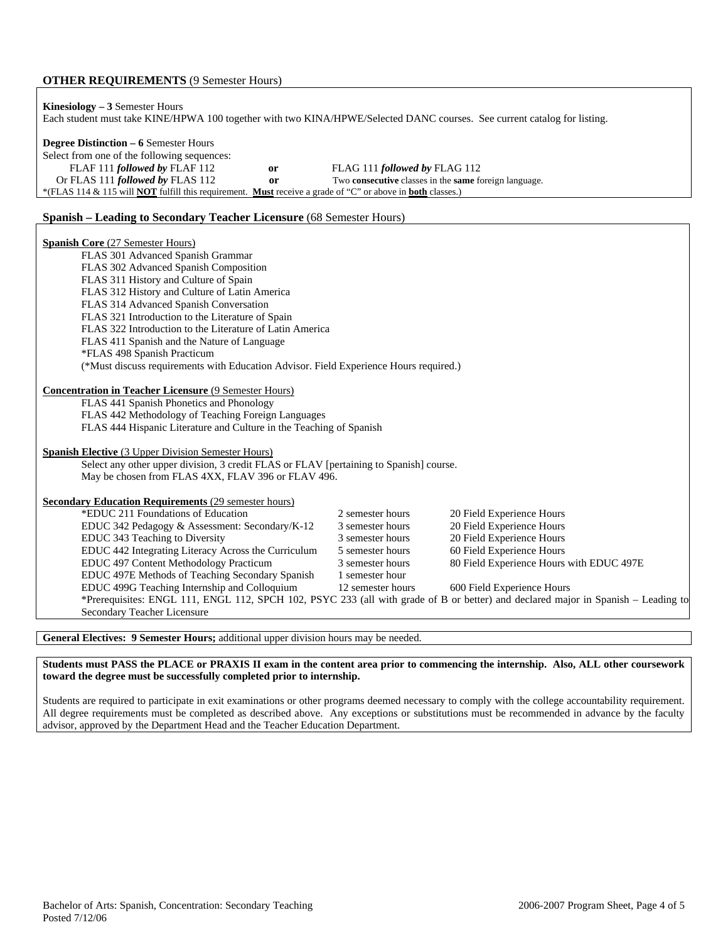#### **OTHER REQUIREMENTS** (9 Semester Hours)

| <b>Kinesiology</b> $-3$ Semester Hours                                                                                          |               | Each student must take KINE/HPWA 100 together with two KINA/HPWE/Selected DANC courses. See current catalog for listing. |  |  |  |  |  |  |
|---------------------------------------------------------------------------------------------------------------------------------|---------------|--------------------------------------------------------------------------------------------------------------------------|--|--|--|--|--|--|
| <b>Degree Distinction – 6 Semester Hours</b><br>Select from one of the following sequences:                                     |               |                                                                                                                          |  |  |  |  |  |  |
| FLAF 111 followed by FLAF 112                                                                                                   | or            | FLAG 111 followed by FLAG 112                                                                                            |  |  |  |  |  |  |
| Or FLAS 111 followed by FLAS 112                                                                                                | <sub>or</sub> | Two consecutive classes in the same foreign language.                                                                    |  |  |  |  |  |  |
| *(FLAS 114 & 115 will <b>NOT</b> fulfill this requirement. <b>Must</b> receive a grade of "C" or above in <b>both</b> classes.) |               |                                                                                                                          |  |  |  |  |  |  |
| <b>Spanish – Leading to Secondary Teacher Licensure (68 Semester Hours)</b>                                                     |               |                                                                                                                          |  |  |  |  |  |  |

| <b>Spanish Core (27 Semester Hours)</b>                                                           |                   |                                                                                                                                   |  |  |  |  |  |  |  |  |
|---------------------------------------------------------------------------------------------------|-------------------|-----------------------------------------------------------------------------------------------------------------------------------|--|--|--|--|--|--|--|--|
| FLAS 301 Advanced Spanish Grammar                                                                 |                   |                                                                                                                                   |  |  |  |  |  |  |  |  |
| FLAS 302 Advanced Spanish Composition                                                             |                   |                                                                                                                                   |  |  |  |  |  |  |  |  |
| FLAS 311 History and Culture of Spain                                                             |                   |                                                                                                                                   |  |  |  |  |  |  |  |  |
| FLAS 312 History and Culture of Latin America                                                     |                   |                                                                                                                                   |  |  |  |  |  |  |  |  |
| FLAS 314 Advanced Spanish Conversation                                                            |                   |                                                                                                                                   |  |  |  |  |  |  |  |  |
| FLAS 321 Introduction to the Literature of Spain                                                  |                   |                                                                                                                                   |  |  |  |  |  |  |  |  |
| FLAS 322 Introduction to the Literature of Latin America                                          |                   |                                                                                                                                   |  |  |  |  |  |  |  |  |
| FLAS 411 Spanish and the Nature of Language                                                       |                   |                                                                                                                                   |  |  |  |  |  |  |  |  |
| *FLAS 498 Spanish Practicum                                                                       |                   |                                                                                                                                   |  |  |  |  |  |  |  |  |
| (*Must discuss requirements with Education Advisor. Field Experience Hours required.)             |                   |                                                                                                                                   |  |  |  |  |  |  |  |  |
|                                                                                                   |                   |                                                                                                                                   |  |  |  |  |  |  |  |  |
| <b>Concentration in Teacher Licensure (9 Semester Hours)</b>                                      |                   |                                                                                                                                   |  |  |  |  |  |  |  |  |
| FLAS 441 Spanish Phonetics and Phonology                                                          |                   |                                                                                                                                   |  |  |  |  |  |  |  |  |
| FLAS 442 Methodology of Teaching Foreign Languages                                                |                   |                                                                                                                                   |  |  |  |  |  |  |  |  |
| FLAS 444 Hispanic Literature and Culture in the Teaching of Spanish                               |                   |                                                                                                                                   |  |  |  |  |  |  |  |  |
|                                                                                                   |                   |                                                                                                                                   |  |  |  |  |  |  |  |  |
| <b>Spanish Elective</b> (3 Upper Division Semester Hours)                                         |                   |                                                                                                                                   |  |  |  |  |  |  |  |  |
| Select any other upper division, 3 credit FLAS or FLAV [pertaining to Spanish] course.            |                   |                                                                                                                                   |  |  |  |  |  |  |  |  |
| May be chosen from FLAS 4XX, FLAV 396 or FLAV 496.                                                |                   |                                                                                                                                   |  |  |  |  |  |  |  |  |
|                                                                                                   |                   |                                                                                                                                   |  |  |  |  |  |  |  |  |
| <b>Secondary Education Requirements (29 semester hours)</b><br>*EDUC 211 Foundations of Education | 2 semester hours  |                                                                                                                                   |  |  |  |  |  |  |  |  |
|                                                                                                   | 3 semester hours  | 20 Field Experience Hours                                                                                                         |  |  |  |  |  |  |  |  |
| EDUC 342 Pedagogy & Assessment: Secondary/K-12                                                    | 3 semester hours  | 20 Field Experience Hours<br>20 Field Experience Hours                                                                            |  |  |  |  |  |  |  |  |
| EDUC 343 Teaching to Diversity<br>EDUC 442 Integrating Literacy Across the Curriculum             | 5 semester hours  | 60 Field Experience Hours                                                                                                         |  |  |  |  |  |  |  |  |
|                                                                                                   | 3 semester hours  | 80 Field Experience Hours with EDUC 497E                                                                                          |  |  |  |  |  |  |  |  |
| EDUC 497 Content Methodology Practicum<br>EDUC 497E Methods of Teaching Secondary Spanish         | 1 semester hour   |                                                                                                                                   |  |  |  |  |  |  |  |  |
| EDUC 499G Teaching Internship and Colloquium                                                      | 12 semester hours | 600 Field Experience Hours                                                                                                        |  |  |  |  |  |  |  |  |
|                                                                                                   |                   | *Prerequisites: ENGL 111, ENGL 112, SPCH 102, PSYC 233 (all with grade of B or better) and declared major in Spanish - Leading to |  |  |  |  |  |  |  |  |
| Secondary Teacher Licensure                                                                       |                   |                                                                                                                                   |  |  |  |  |  |  |  |  |
|                                                                                                   |                   |                                                                                                                                   |  |  |  |  |  |  |  |  |

**General Electives: 9 Semester Hours;** additional upper division hours may be needed.

**Students must PASS the PLACE or PRAXIS II exam in the content area prior to commencing the internship. Also, ALL other coursework toward the degree must be successfully completed prior to internship.** 

Students are required to participate in exit examinations or other programs deemed necessary to comply with the college accountability requirement. All degree requirements must be completed as described above. Any exceptions or substitutions must be recommended in advance by the faculty advisor, approved by the Department Head and the Teacher Education Department.